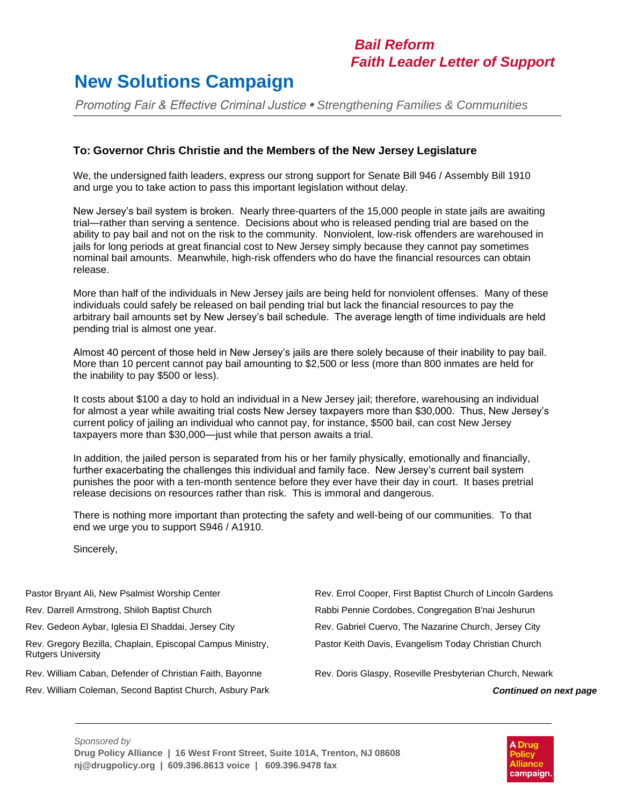## *Bail Reform Faith Leader Letter of Support*

## **New Solutions Campaign**

*Promoting Fair & Effective Criminal Justice • Strengthening Families & Communities*

## **To: Governor Chris Christie and the Members of the New Jersey Legislature**

We, the undersigned faith leaders, express our strong support for Senate Bill 946 / Assembly Bill 1910 and urge you to take action to pass this important legislation without delay.

New Jersey's bail system is broken. Nearly three-quarters of the 15,000 people in state jails are awaiting trial—rather than serving a sentence. Decisions about who is released pending trial are based on the ability to pay bail and not on the risk to the community. Nonviolent, low-risk offenders are warehoused in jails for long periods at great financial cost to New Jersey simply because they cannot pay sometimes nominal bail amounts. Meanwhile, high-risk offenders who do have the financial resources can obtain release.

More than half of the individuals in New Jersey jails are being held for nonviolent offenses. Many of these individuals could safely be released on bail pending trial but lack the financial resources to pay the arbitrary bail amounts set by New Jersey's bail schedule. The average length of time individuals are held pending trial is almost one year.

Almost 40 percent of those held in New Jersey's jails are there solely because of their inability to pay bail. More than 10 percent cannot pay bail amounting to \$2,500 or less (more than 800 inmates are held for the inability to pay \$500 or less).

It costs about \$100 a day to hold an individual in a New Jersey jail; therefore, warehousing an individual for almost a year while awaiting trial costs New Jersey taxpayers more than \$30,000. Thus, New Jersey's current policy of jailing an individual who cannot pay, for instance, \$500 bail, can cost New Jersey taxpayers more than \$30,000—just while that person awaits a trial.

In addition, the jailed person is separated from his or her family physically, emotionally and financially, further exacerbating the challenges this individual and family face. New Jersey's current bail system punishes the poor with a ten-month sentence before they ever have their day in court. It bases pretrial release decisions on resources rather than risk. This is immoral and dangerous.

There is nothing more important than protecting the safety and well-being of our communities. To that end we urge you to support S946 / A1910.

Sincerely,

- 
- 

Rev. Gregory Bezilla, Chaplain, Episcopal Campus Ministry, Rutgers University

- Rev. William Caban, Defender of Christian Faith, Bayonne Rev. Doris Glaspy, Roseville Presbyterian Church, Newark
- Rev. William Coleman, Second Baptist Church, Asbury Park *Continued on next page*

Pastor Bryant Ali, New Psalmist Worship Center **Rev. Errol Cooper, First Baptist Church of Lincoln Gardens** Rev. Darrell Armstrong, Shiloh Baptist Church Rabbi Pennie Cordobes, Congregation B'nai Jeshurun Rev. Gedeon Aybar, Iglesia El Shaddai, Jersey City **Rev. Gabriel Cuervo, The Nazarine Church**, Jersey City Pastor Keith Davis, Evangelism Today Christian Church